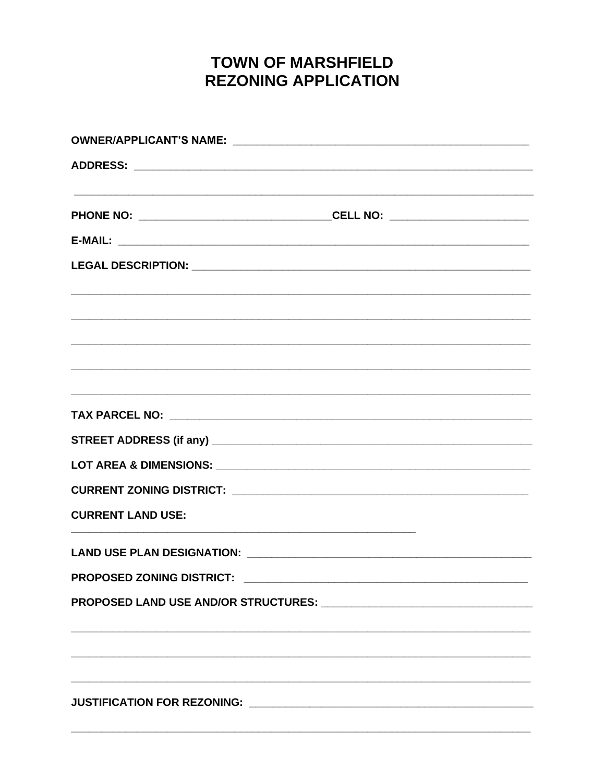## **TOWN OF MARSHFIELD REZONING APPLICATION**

| OWNER/APPLICANT'S NAME: NAME: NAME: NAME AND A SERIES AND A SERIES OF A SERIES AND A SERIES OF A SERIES OF A S                                           |
|----------------------------------------------------------------------------------------------------------------------------------------------------------|
|                                                                                                                                                          |
|                                                                                                                                                          |
|                                                                                                                                                          |
|                                                                                                                                                          |
|                                                                                                                                                          |
|                                                                                                                                                          |
|                                                                                                                                                          |
|                                                                                                                                                          |
|                                                                                                                                                          |
|                                                                                                                                                          |
| <b>CURRENT LAND USE:</b>                                                                                                                                 |
|                                                                                                                                                          |
| <b>PROPOSED ZONING DISTRICT:</b><br><u> 1980 - Jan Stein Stein Stein Stein Stein Stein Stein Stein Stein Stein Stein Stein Stein Stein Stein Stein S</u> |
|                                                                                                                                                          |
|                                                                                                                                                          |
|                                                                                                                                                          |
|                                                                                                                                                          |